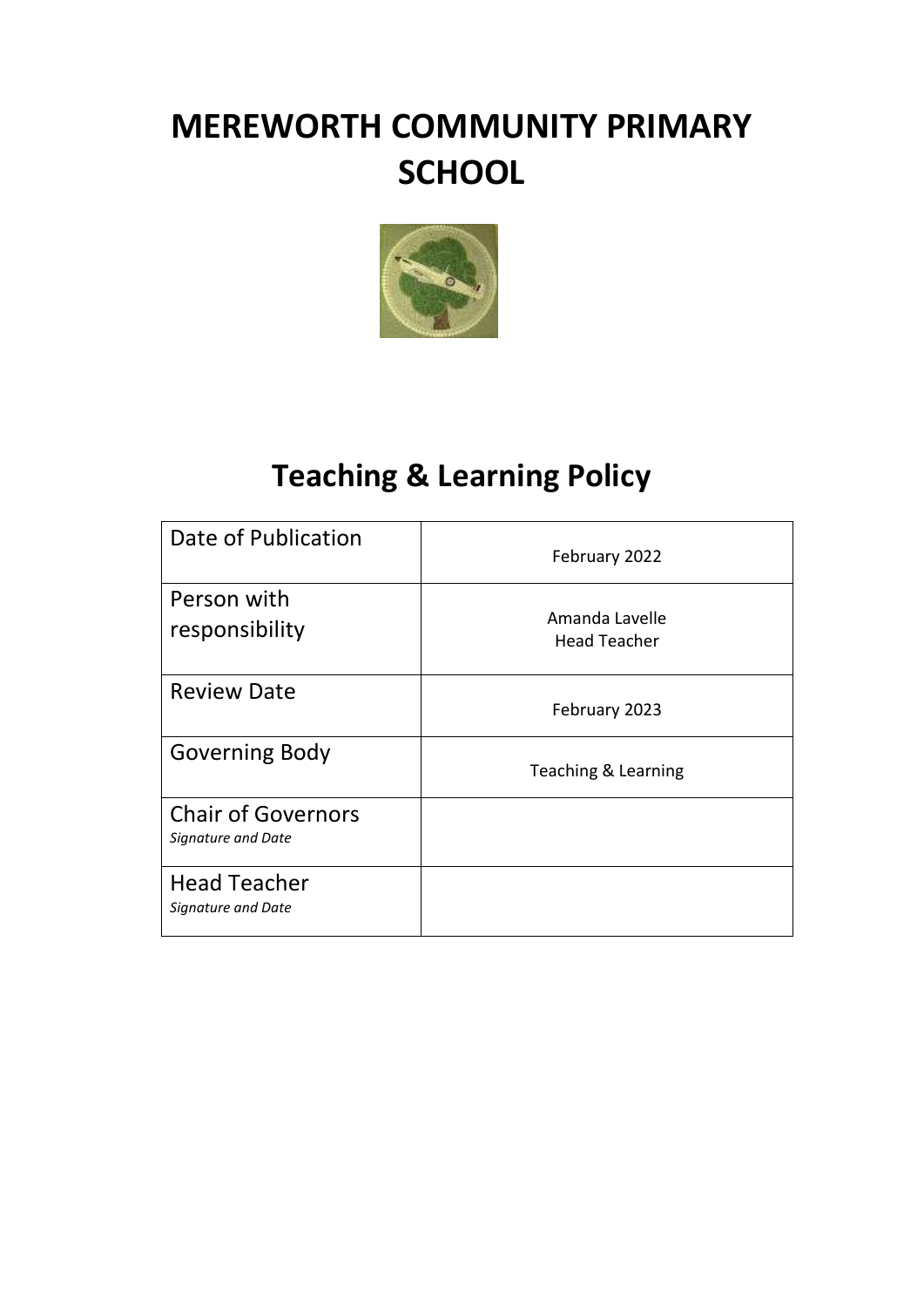# **MEREWORTH COMMUNITY PRIMARY SCHOOL**



## **Teaching & Learning Policy**

| Date of Publication                             | February 2022                         |
|-------------------------------------------------|---------------------------------------|
| Person with<br>responsibility                   | Amanda Lavelle<br><b>Head Teacher</b> |
| <b>Review Date</b>                              | February 2023                         |
| <b>Governing Body</b>                           | Teaching & Learning                   |
| <b>Chair of Governors</b><br>Signature and Date |                                       |
| <b>Head Teacher</b><br>Signature and Date       |                                       |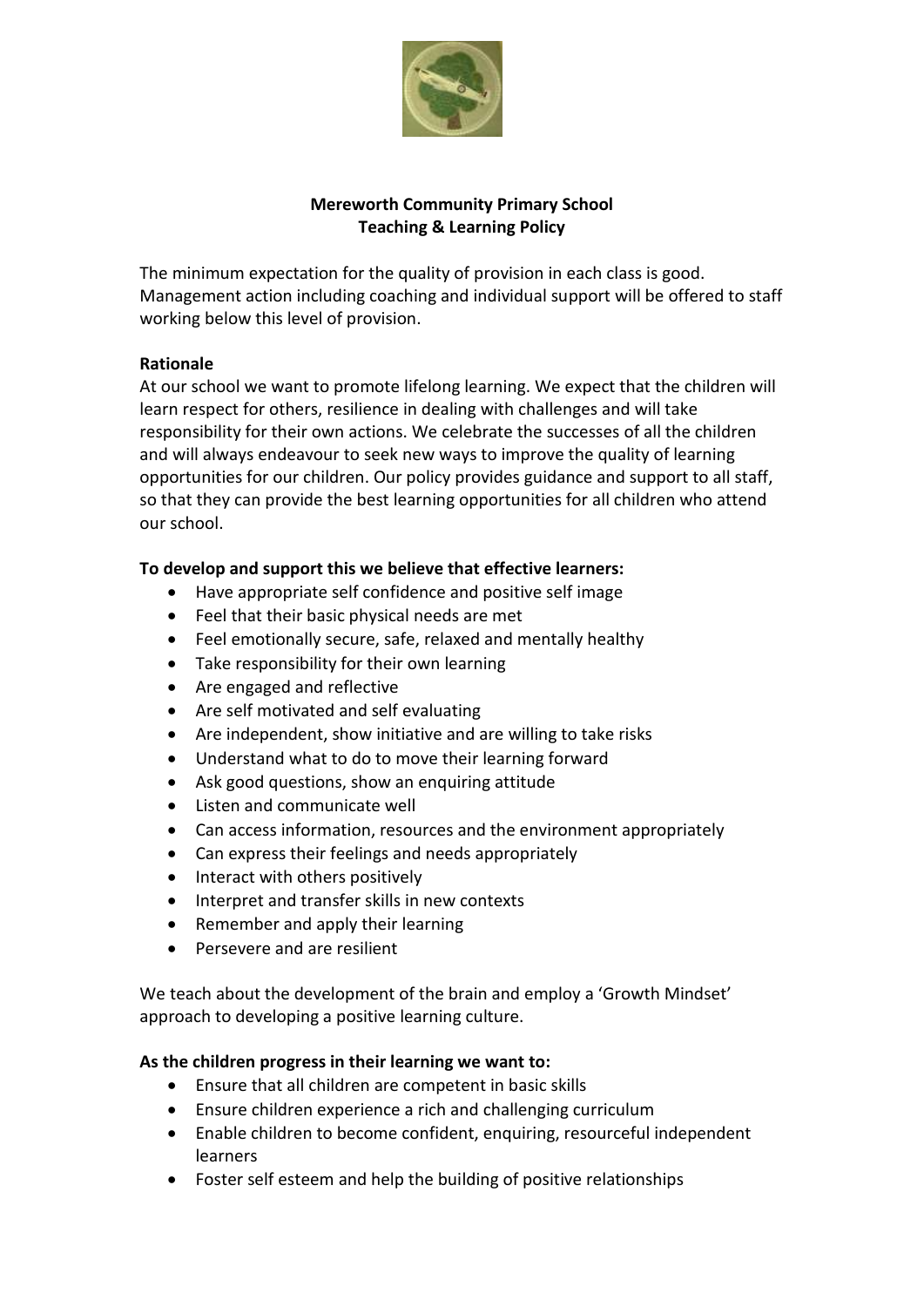

## **Mereworth Community Primary School Teaching & Learning Policy**

The minimum expectation for the quality of provision in each class is good. Management action including coaching and individual support will be offered to staff working below this level of provision.

## **Rationale**

At our school we want to promote lifelong learning. We expect that the children will learn respect for others, resilience in dealing with challenges and will take responsibility for their own actions. We celebrate the successes of all the children and will always endeavour to seek new ways to improve the quality of learning opportunities for our children. Our policy provides guidance and support to all staff, so that they can provide the best learning opportunities for all children who attend our school.

## **To develop and support this we believe that effective learners:**

- Have appropriate self confidence and positive self image
- Feel that their basic physical needs are met
- Feel emotionally secure, safe, relaxed and mentally healthy
- Take responsibility for their own learning
- Are engaged and reflective
- Are self motivated and self evaluating
- Are independent, show initiative and are willing to take risks
- Understand what to do to move their learning forward
- Ask good questions, show an enquiring attitude
- Listen and communicate well
- Can access information, resources and the environment appropriately
- Can express their feelings and needs appropriately
- Interact with others positively
- Interpret and transfer skills in new contexts
- Remember and apply their learning
- Persevere and are resilient

We teach about the development of the brain and employ a 'Growth Mindset' approach to developing a positive learning culture.

#### **As the children progress in their learning we want to:**

- Ensure that all children are competent in basic skills
- Ensure children experience a rich and challenging curriculum
- Enable children to become confident, enquiring, resourceful independent learners
- Foster self esteem and help the building of positive relationships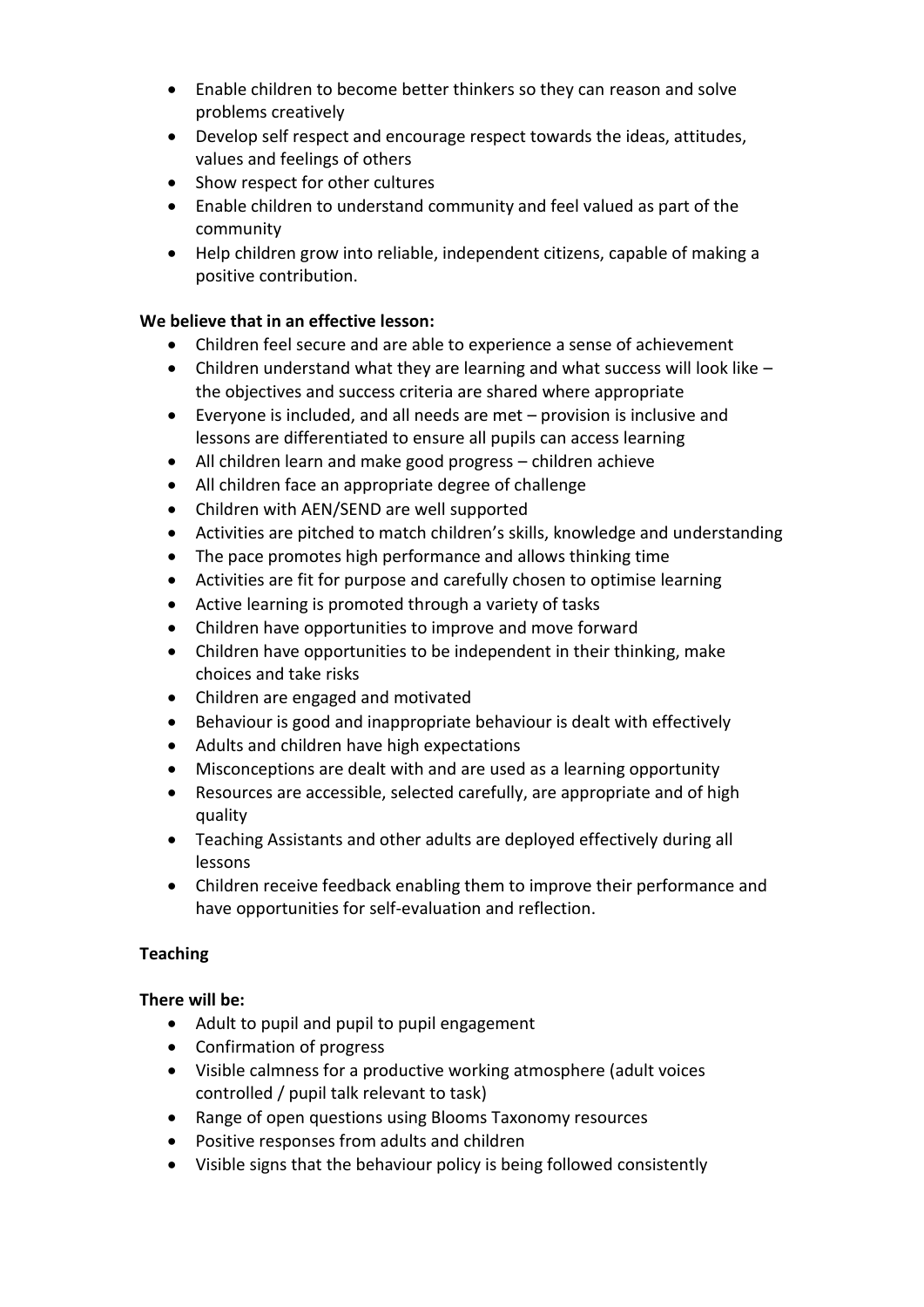- Enable children to become better thinkers so they can reason and solve problems creatively
- Develop self respect and encourage respect towards the ideas, attitudes, values and feelings of others
- Show respect for other cultures
- Enable children to understand community and feel valued as part of the community
- Help children grow into reliable, independent citizens, capable of making a positive contribution.

### **We believe that in an effective lesson:**

- Children feel secure and are able to experience a sense of achievement
- Children understand what they are learning and what success will look like  $$ the objectives and success criteria are shared where appropriate
- Everyone is included, and all needs are met provision is inclusive and lessons are differentiated to ensure all pupils can access learning
- All children learn and make good progress children achieve
- All children face an appropriate degree of challenge
- Children with AEN/SEND are well supported
- Activities are pitched to match children's skills, knowledge and understanding
- The pace promotes high performance and allows thinking time
- Activities are fit for purpose and carefully chosen to optimise learning
- Active learning is promoted through a variety of tasks
- Children have opportunities to improve and move forward
- Children have opportunities to be independent in their thinking, make choices and take risks
- Children are engaged and motivated
- Behaviour is good and inappropriate behaviour is dealt with effectively
- Adults and children have high expectations
- Misconceptions are dealt with and are used as a learning opportunity
- Resources are accessible, selected carefully, are appropriate and of high quality
- Teaching Assistants and other adults are deployed effectively during all lessons
- Children receive feedback enabling them to improve their performance and have opportunities for self-evaluation and reflection.

## **Teaching**

## **There will be:**

- Adult to pupil and pupil to pupil engagement
- Confirmation of progress
- Visible calmness for a productive working atmosphere (adult voices controlled / pupil talk relevant to task)
- Range of open questions using Blooms Taxonomy resources
- Positive responses from adults and children
- Visible signs that the behaviour policy is being followed consistently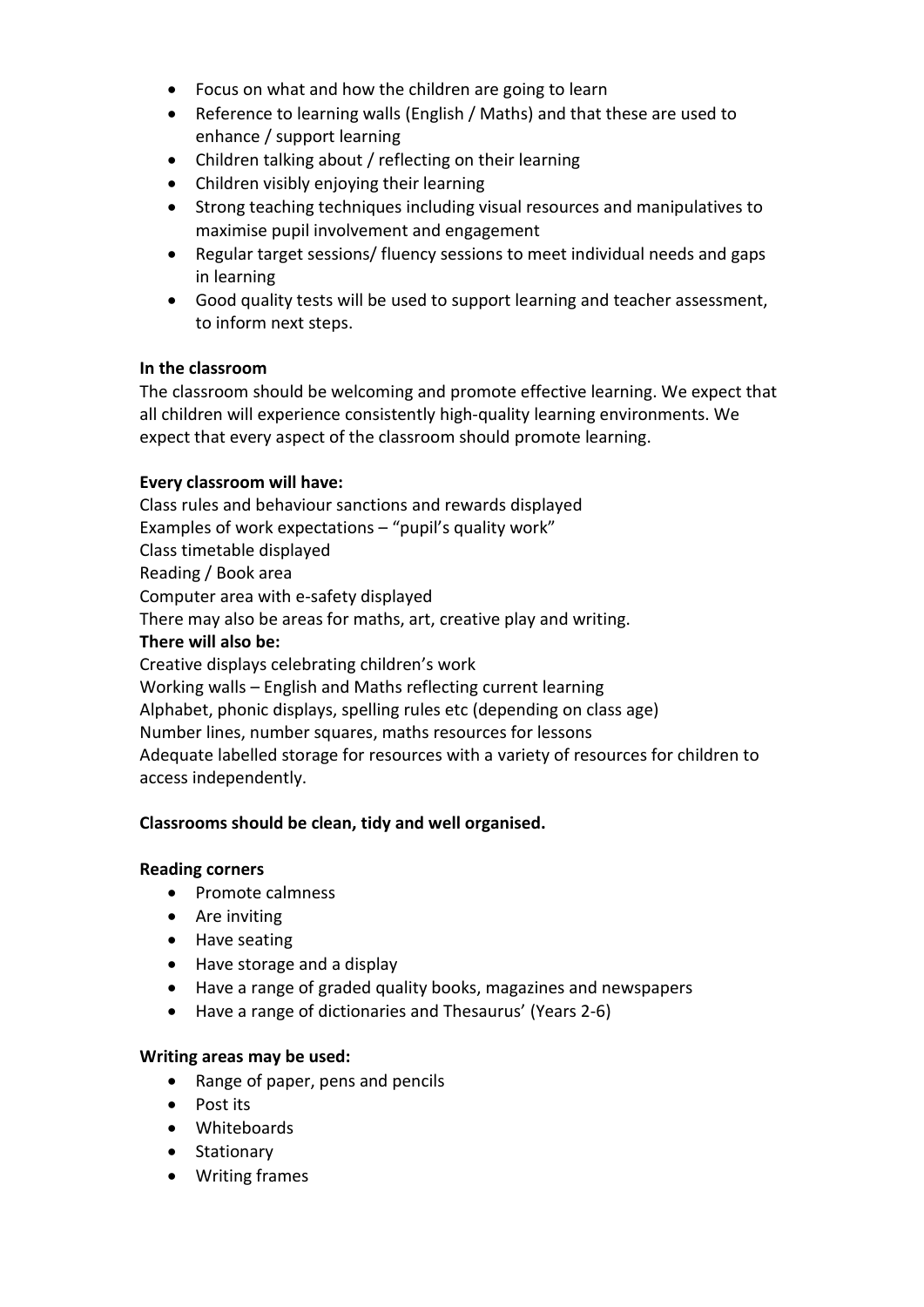- Focus on what and how the children are going to learn
- Reference to learning walls (English / Maths) and that these are used to enhance / support learning
- Children talking about / reflecting on their learning
- Children visibly enjoying their learning
- Strong teaching techniques including visual resources and manipulatives to maximise pupil involvement and engagement
- Regular target sessions/ fluency sessions to meet individual needs and gaps in learning
- Good quality tests will be used to support learning and teacher assessment, to inform next steps.

## **In the classroom**

The classroom should be welcoming and promote effective learning. We expect that all children will experience consistently high-quality learning environments. We expect that every aspect of the classroom should promote learning.

## **Every classroom will have:**

Class rules and behaviour sanctions and rewards displayed Examples of work expectations – "pupil's quality work" Class timetable displayed Reading / Book area Computer area with e-safety displayed There may also be areas for maths, art, creative play and writing. **There will also be:** Creative displays celebrating children's work Working walls – English and Maths reflecting current learning Alphabet, phonic displays, spelling rules etc (depending on class age) Number lines, number squares, maths resources for lessons Adequate labelled storage for resources with a variety of resources for children to access independently.

## **Classrooms should be clean, tidy and well organised.**

## **Reading corners**

- Promote calmness
- Are inviting
- Have seating
- Have storage and a display
- Have a range of graded quality books, magazines and newspapers
- Have a range of dictionaries and Thesaurus' (Years 2-6)

## **Writing areas may be used:**

- Range of paper, pens and pencils
- Post its
- Whiteboards
- Stationary
- Writing frames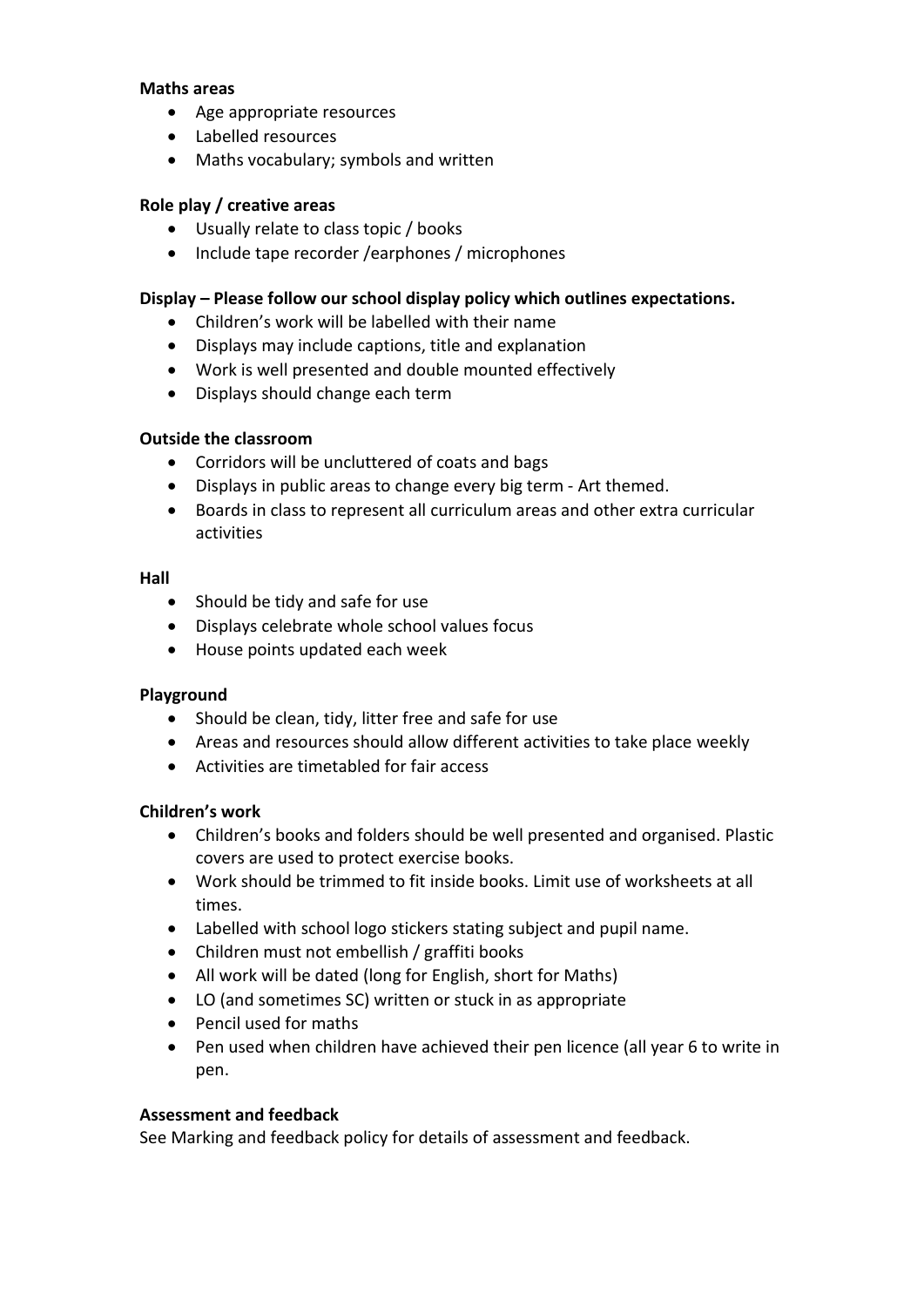#### **Maths areas**

- Age appropriate resources
- Labelled resources
- Maths vocabulary; symbols and written

#### **Role play / creative areas**

- Usually relate to class topic / books
- Include tape recorder /earphones / microphones

#### **Display – Please follow our school display policy which outlines expectations.**

- Children's work will be labelled with their name
- Displays may include captions, title and explanation
- Work is well presented and double mounted effectively
- Displays should change each term

#### **Outside the classroom**

- Corridors will be uncluttered of coats and bags
- Displays in public areas to change every big term Art themed.
- Boards in class to represent all curriculum areas and other extra curricular activities

#### **Hall**

- Should be tidy and safe for use
- Displays celebrate whole school values focus
- House points updated each week

#### **Playground**

- Should be clean, tidy, litter free and safe for use
- Areas and resources should allow different activities to take place weekly
- Activities are timetabled for fair access

#### **Children's work**

- Children's books and folders should be well presented and organised. Plastic covers are used to protect exercise books.
- Work should be trimmed to fit inside books. Limit use of worksheets at all times.
- Labelled with school logo stickers stating subject and pupil name.
- Children must not embellish / graffiti books
- All work will be dated (long for English, short for Maths)
- LO (and sometimes SC) written or stuck in as appropriate
- Pencil used for maths
- Pen used when children have achieved their pen licence (all year 6 to write in pen.

#### **Assessment and feedback**

See Marking and feedback policy for details of assessment and feedback.